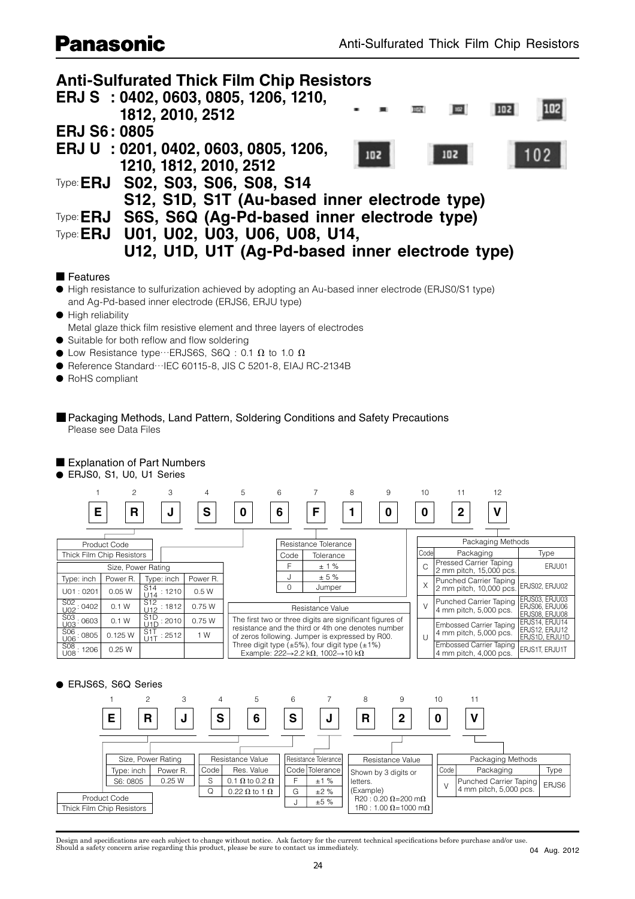## **Panasonic**



### ■ Features

● High resistance to sulfurization achieved by adopting an Au-based inner electrode (ERJS0/S1 type) and Ag-Pd-based inner electrode (ERJS6, ERJU type)

● High reliability

Metal glaze thick film resistive element and three layers of electrodes

- $\bullet$  Suitable for both reflow and flow soldering
- $\bullet$  Low Resistance type…ERJS6S, S6Q : 0.1  $\Omega$  to 1.0  $\Omega$
- Reference Standard…IEC 60115-8, JIS C 5201-8, EIAJ RC-2134B
- RoHS compliant
- Packaging Methods, Land Pattern, Soldering Conditions and Safety Precautions Please see Data Files

### ■ Explanation of Part Numbers

● ERJS0, S1, U0, U1 Series



### ● ERJS6S, S6Q Series



Design and specifications are each subject to change without notice. Ask factory for the current technical specifications before purchase and/or use. Should a safety concern arise regarding this product, please be sure to contact us immediately.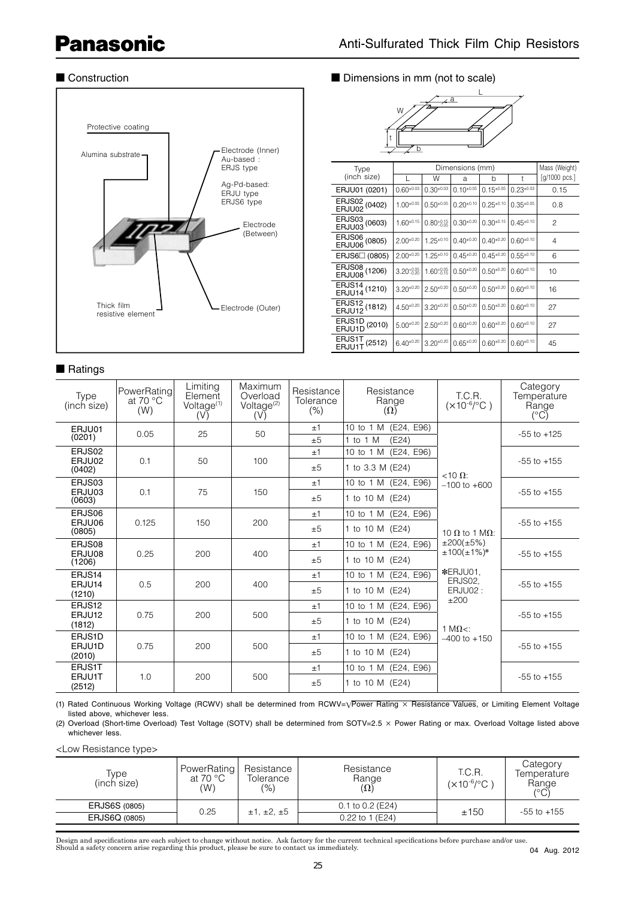# **Panasonic**



## ■ Ratings

### ■ Construction ■ Dimensions in mm (not to scale)



| Type                                      | Dimensions (mm)        |                        |                  |                  |                  | Mass (Weight) |
|-------------------------------------------|------------------------|------------------------|------------------|------------------|------------------|---------------|
| (inch size)                               |                        | W                      | a                | b                | t                | [g/1000 pcs.] |
| ERJU01 (0201)                             | $0.60^{+0.03}$         | $0.30^{+0.03}$         | $0.10^{+0.05}$   | $0.15^{\pm0.05}$ | $0.23^{\pm0.03}$ | 0.15          |
| ERJS02 (0402)<br>ERJU02 <sup>(0402)</sup> | $1.00^{+0.05}$         | $0.50^{+0.05}$         | $0.20^{+0.10}$   | $0.25^{\pm0.10}$ | $0.35^{+0.05}$   | 0.8           |
| ERJS03 (0603)<br>ERJU03 <sup>(0603)</sup> | $1.60^{+0.15}$         | $0.80^{+0.15}_{-0.05}$ | $0.30^{+0.20}$   | $0.30^{+0.15}$   | $0.45^{\pm0.10}$ | 2             |
| ERJS06 (0805)<br>ERJU06 <sup>(0805)</sup> | $2.00^{+0.20}$         | $1.25^{\pm0.10}$       | $0.40^{+0.20}$   | $0.40^{+0.20}$   | $0.60^{+0.10}$   | 4             |
| ERJS6□ (0805)                             | $2.00^{+0.20}$         | $1.25^{\pm0.10}$       | $0.45^{\pm0.20}$ | $0.45^{\pm0.20}$ | $0.55^{\pm0.10}$ | 6             |
| ERJS08 (1206)<br>ERJU08 <sup>(1206)</sup> | $3.20_{-0.20}^{+0.05}$ | $1.60_{-0.15}^{+0.05}$ | $0.50^{+0.20}$   | $0.50^{+0.20}$   | $0.60^{+0.10}$   | 10            |
| ERJS14 (1210)<br>ERJU14 <sup>(1210)</sup> | $3.20^{+0.20}$         | $2.50^{+0.20}$         | $0.50^{+0.20}$   | $0.50^{+0.20}$   | $0.60^{+0.10}$   | 16            |
| ERJS12 (1812)<br>ERJU12 <sup>(1812)</sup> | $4.50^{+0.20}$         | $3.20^{+0.20}$         | $0.50^{+0.20}$   | $0.50^{+0.20}$   | $0.60^{+0.10}$   | 27            |
| ERJS1D (2010)<br>ERJU1D <sup>(2010)</sup> | $5.00^{+0.20}$         | $2.50^{+0.20}$         | $0.60^{+0.20}$   | $0.60^{+0.20}$   | $0.60^{+0.10}$   | 27            |
| ERJS1T (2512)<br>ERJU1T <sup>(2512)</sup> | $6.40^{+0.20}$         | $3.20^{+0.20}$         | $0.65^{\pm0.20}$ | $0.60^{+0.20}$   | $0.60^{+0.10}$   | 45            |

| Type<br>(inch size) | PowerRating<br>at 70 $\degree$ C<br>(W) | Limiting<br>Element<br>Voltage <sup>(1)</sup><br>(V) | Maximum<br>Overload<br>Voltage <sup>(2)</sup><br>(V) | Resistance<br>Tolerance<br>$(\% )$ | Resistance<br>Range<br>$(\Omega)$           | T.C.R.<br>$(x10^{-6}/^{\circ}C)$                  | Category<br>Temperature<br>Range<br>$(^{\circ}C)$ |
|---------------------|-----------------------------------------|------------------------------------------------------|------------------------------------------------------|------------------------------------|---------------------------------------------|---------------------------------------------------|---------------------------------------------------|
| ERJU01<br>(0201)    | 0.05                                    | 25                                                   | 50                                                   | ±1<br>±5                           | 10 to 1 M (E24, E96)<br>1 to 1 $M$<br>(E24) |                                                   | $-55$ to $+125$                                   |
| ERJS02              |                                         |                                                      |                                                      | ±1                                 | 10 to 1 M (E24, E96)                        |                                                   |                                                   |
| ERJU02<br>(0402)    | 0.1                                     | 50                                                   | 100                                                  | ±5                                 | 1 to 3.3 M (E24)                            | $<10 \Omega$ :                                    | $-55$ to $+155$                                   |
| ERJS03              |                                         |                                                      |                                                      | ±1                                 | 10 to 1 M (E24, E96)                        | $-100$ to $+600$<br>10 $\Omega$ to 1 M $\Omega$ : | $-55$ to $+155$                                   |
| ERJU03<br>(0603)    | 0.1                                     | 75                                                   | 150                                                  | ±5                                 | 1 to 10 M (E24)                             |                                                   |                                                   |
| ERJS06              |                                         |                                                      | 150<br>200                                           | ±1                                 | 10 to 1 M (E24, E96)                        |                                                   | $-55$ to $+155$                                   |
| (0805)              | 0.125<br>ERJU06                         |                                                      |                                                      | ±5                                 | 1 to 10 M (E24)                             |                                                   |                                                   |
| ERJS08              |                                         |                                                      | ±1                                                   | 10 to 1 M (E24, E96)               | ±200(±5%)                                   |                                                   |                                                   |
| ERJU08<br>(1206)    | 0.25                                    | 200                                                  | 400                                                  | ±5                                 | 1 to 10 M (E24)                             | $±100(±1%)*$                                      | $-55$ to $+155$                                   |
| ERJS14              |                                         |                                                      | 400                                                  | ±1                                 | 10 to 1 M (E24, E96)                        | *ERJU01.<br>ERJS02.                               |                                                   |
| ERJU14<br>(1210)    | 0.5                                     | 200                                                  |                                                      | ±5                                 | 1 to 10 M (E24)                             | ERJU02:<br>±200                                   | $-55$ to $+155$                                   |
| ERJS12              | 0.75<br>ERJU12<br>200<br>(1812)         |                                                      |                                                      | ±1                                 | 10 to 1 M (E24, E96)                        |                                                   |                                                   |
|                     |                                         | 500                                                  | ±5                                                   | 1 to 10 M (E24)                    | 1 M $\Omega$ <:                             | $-55$ to $+155$                                   |                                                   |
| ERJS1D              | 0.75<br>ERJU1D<br>200<br>(2010)         |                                                      | 500                                                  | ±1                                 | 10 to 1 M (E24, E96)                        | $-400$ to $+150$                                  |                                                   |
|                     |                                         |                                                      |                                                      | ±5                                 | 1 to 10 M (E24)                             |                                                   | $-55$ to $+155$                                   |
| ERJS1T              |                                         |                                                      | ±1                                                   | 10 to 1 M (E24, E96)               |                                             |                                                   |                                                   |
| ERJU1T<br>(2512)    | 1.0                                     | 200                                                  | 500                                                  | ±5                                 | 1 to 10 M (E24)                             |                                                   | $-55$ to $+155$                                   |

(1) Rated Continuous Working Voltage (RCWV) shall be determined from RCWV=√Power Rating × Resistance Values, or Limiting Element Voltage listed above, whichever less.

(2) Overload (Short-time Overload) Test Voltage (SOTV) shall be determined from SOTV=2.5 × Power Rating or max. Overload Voltage listed above whichever less.

<Low Resistance type>

| Type<br>(inch size)  | PowerRating<br>at 70 $^{\circ}$ C<br>(W) | Resistance<br>Tolerance<br>(9/6) | Resistance<br>Range<br>$(\Omega)$ | T.C.R.<br>$(x10^{-6}/^{\circ}C)$ | Category<br>Temperature<br>Range<br>(°C) |
|----------------------|------------------------------------------|----------------------------------|-----------------------------------|----------------------------------|------------------------------------------|
| <b>ERJS6S (0805)</b> | 0.25                                     | ±1, ±2, ±5                       | $0.1$ to $0.2$ (E24)              | ±150                             | $-55$ to $+155$                          |
| ERJS6Q (0805)        |                                          |                                  | 0.22 to 1 (E24)                   |                                  |                                          |

Design and specifications are each subject to change without notice. Ask factory for the current technical specifications before purchase and/or use.<br>Should a safety concern arise regarding this product, please be sure to